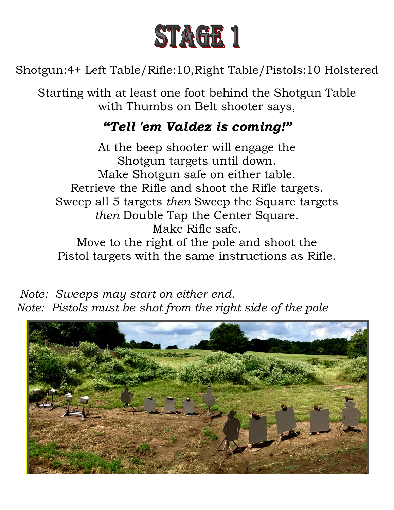

Shotgun:4+ Left Table/Rifle:10,Right Table/Pistols:10 Holstered

Starting with at least one foot behind the Shotgun Table with Thumbs on Belt shooter says,

# *"Tell 'em Valdez is coming!"*

At the beep shooter will engage the Shotgun targets until down. Make Shotgun safe on either table. Retrieve the Rifle and shoot the Rifle targets. Sweep all 5 targets *then* Sweep the Square targets *then* Double Tap the Center Square. Make Rifle safe.

Move to the right of the pole and shoot the Pistol targets with the same instructions as Rifle.

 *Note: Sweeps may start on either end. Note: Pistols must be shot from the right side of the pole*

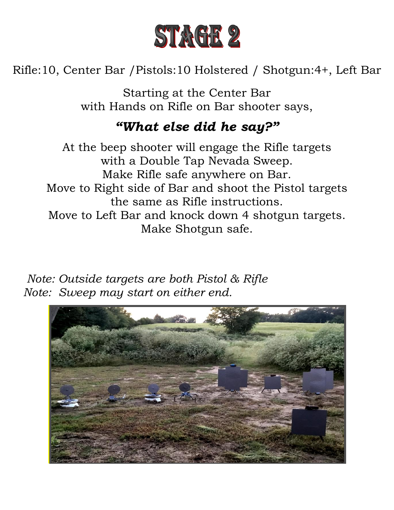

Rifle:10, Center Bar /Pistols:10 Holstered / Shotgun:4+, Left Bar

Starting at the Center Bar with Hands on Rifle on Bar shooter says,

## *"What else did he say?"*

At the beep shooter will engage the Rifle targets with a Double Tap Nevada Sweep. Make Rifle safe anywhere on Bar. Move to Right side of Bar and shoot the Pistol targets the same as Rifle instructions. Move to Left Bar and knock down 4 shotgun targets. Make Shotgun safe.

 *Note: Outside targets are both Pistol & Rifle Note: Sweep may start on either end.*

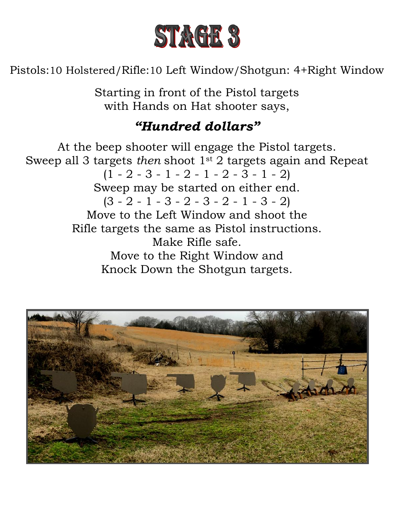

Pistols:10 Holstered/Rifle:10 Left Window/Shotgun: 4+Right Window

Starting in front of the Pistol targets with Hands on Hat shooter says,

# *"Hundred dollars"*

At the beep shooter will engage the Pistol targets. Sweep all 3 targets *then* shoot 1st 2 targets again and Repeat  $(1 - 2 - 3 - 1 - 2 - 1 - 2 - 3 - 1 - 2)$ Sweep may be started on either end.  $(3 - 2 - 1 - 3 - 2 - 3 - 2 - 1 - 3 - 2)$ Move to the Left Window and shoot the Rifle targets the same as Pistol instructions. Make Rifle safe. Move to the Right Window and Knock Down the Shotgun targets.

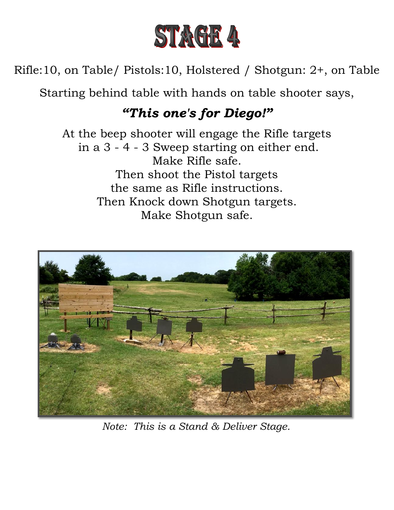

Rifle:10, on Table/ Pistols:10, Holstered / Shotgun: 2+, on Table

Starting behind table with hands on table shooter says,

# *"This one's for Diego!"*

At the beep shooter will engage the Rifle targets in a 3 - 4 - 3 Sweep starting on either end. Make Rifle safe. Then shoot the Pistol targets the same as Rifle instructions. Then Knock down Shotgun targets. Make Shotgun safe.



*Note: This is a Stand & Deliver Stage.*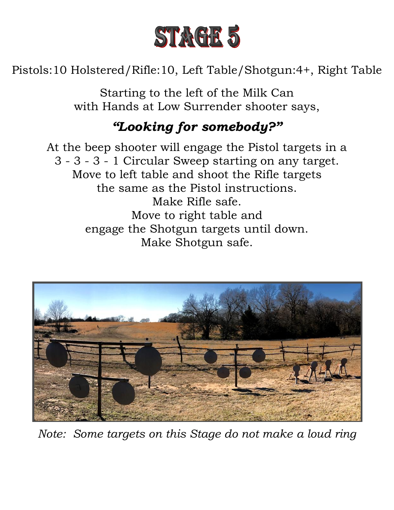

Pistols:10 Holstered/Rifle:10, Left Table/Shotgun:4+, Right Table

Starting to the left of the Milk Can with Hands at Low Surrender shooter says,

# *"Looking for somebody?"*

At the beep shooter will engage the Pistol targets in a 3 - 3 - 3 - 1 Circular Sweep starting on any target. Move to left table and shoot the Rifle targets the same as the Pistol instructions. Make Rifle safe. Move to right table and engage the Shotgun targets until down. Make Shotgun safe.



*Note: Some targets on this Stage do not make a loud ring*